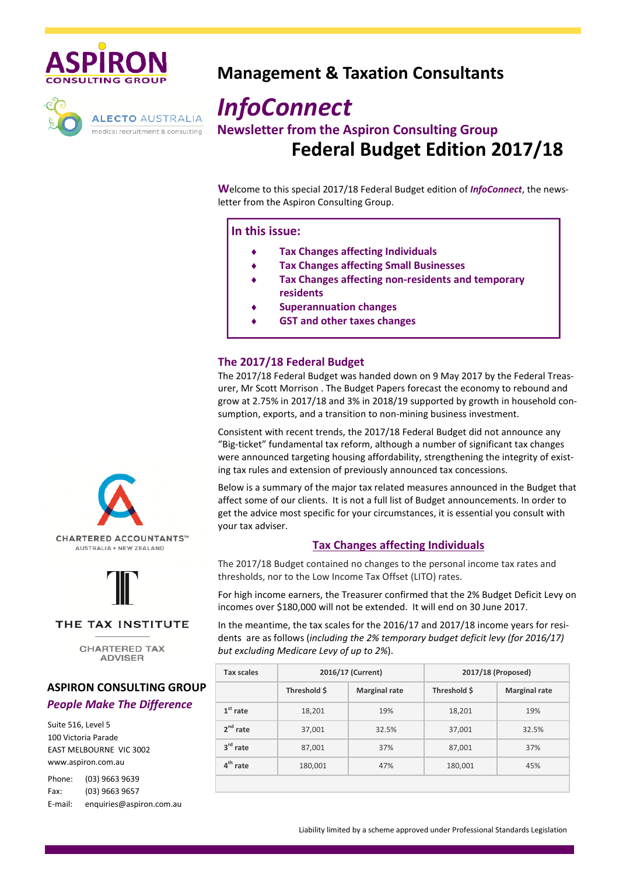



# **Management & Taxation Consultants**

# *InfoConnect* **Newsletter from the Aspiron Consulting Group**

**Federal Budget Edition 2017/18**

**W**elcome to this special 2017/18 Federal Budget edition of *InfoConnect*, the newsletter from the Aspiron Consulting Group.

#### **In this issue:**

- **Tax Changes affecting Individuals**
- **Tax Changes affecting Small Businesses**
- ♦ **Tax Changes affecting non-residents and temporary residents**
- **Superannuation changes**
- **GST and other taxes changes**

#### **The 2017/18 Federal Budget**

The 2017/18 Federal Budget was handed down on 9 May 2017 by the Federal Treasurer, Mr Scott Morrison . The Budget Papers forecast the economy to rebound and grow at 2.75% in 2017/18 and 3% in 2018/19 supported by growth in household consumption, exports, and a transition to non-mining business investment.

Consistent with recent trends, the 2017/18 Federal Budget did not announce any "Big-ticket" fundamental tax reform, although a number of significant tax changes were announced targeting housing affordability, strengthening the integrity of existing tax rules and extension of previously announced tax concessions.

Below is a summary of the major tax related measures announced in the Budget that affect some of our clients. It is not a full list of Budget announcements. In order to get the advice most specific for your circumstances, it is essential you consult with your tax adviser.

#### **Tax Changes affecting Individuals**

The 2017/18 Budget contained no changes to the personal income tax rates and thresholds, nor to the Low Income Tax Offset (LITO) rates.

For high income earners, the Treasurer confirmed that the 2% Budget Deficit Levy on incomes over \$180,000 will not be extended. It will end on 30 June 2017.

In the meantime, the tax scales for the 2016/17 and 2017/18 income years for residents are as follows (*including the 2% temporary budget deficit levy (for 2016/17) but excluding Medicare Levy of up to 2%*).

| <b>Tax scales</b> | 2016/17 (Current) |                      | 2017/18 (Proposed) |                      |
|-------------------|-------------------|----------------------|--------------------|----------------------|
|                   | Threshold \$      | <b>Marginal rate</b> | Threshold S        | <b>Marginal rate</b> |
| $1st$ rate        | 18,201            | 19%                  | 18,201             | 19%                  |
| $2nd$ rate        | 37,001            | 32.5%                | 37,001             | 32.5%                |
| $3rd$ rate        | 87,001            | 37%                  | 87,001             | 37%                  |
| $4th$ rate        | 180,001           | 47%                  | 180,001            | 45%                  |





### THE TAX INSTITUTE

**CHARTERED TAX ADVISER** 

# **ASPIRON CONSULTING GROUP**

## *People Make The Difference*

Suite 516, Level 5 100 Victoria Parade EAST MELBOURNE VIC 3002 www.aspiron.com.au

| Phone:  | (03) 9663 9639           |
|---------|--------------------------|
| Fax:    | (03) 9663 9657           |
| E-mail: | enquiries@aspiron.com.au |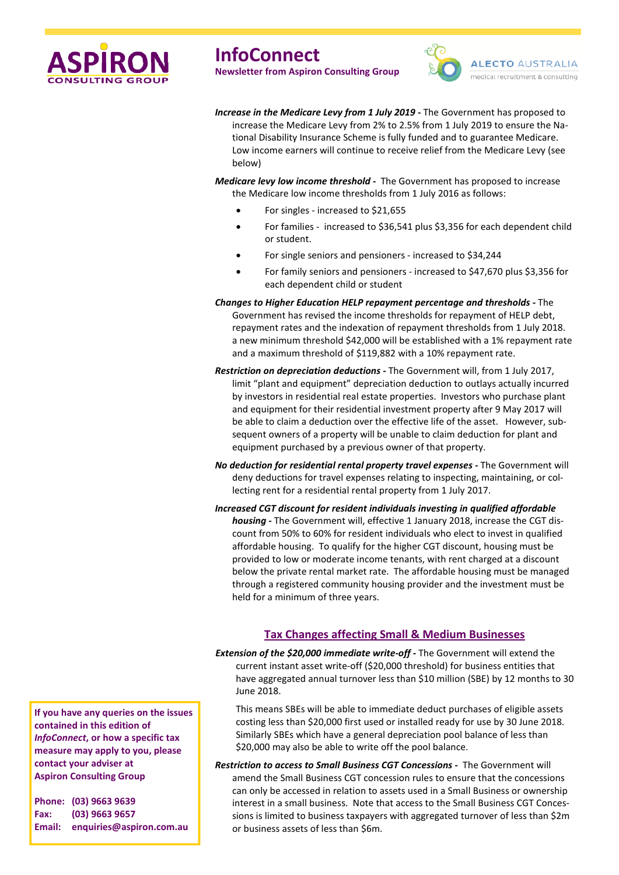



*Increase in the Medicare Levy from 1 July 2019 -* The Government has proposed to increase the Medicare Levy from 2% to 2.5% from 1 July 2019 to ensure the National Disability Insurance Scheme is fully funded and to guarantee Medicare. Low income earners will continue to receive relief from the Medicare Levy (see below)

*Medicare levy low income threshold* **-** The Government has proposed to increase the Medicare low income thresholds from 1 July 2016 as follows:

- For singles increased to \$21,655
- For families increased to \$36,541 plus \$3,356 for each dependent child or student.
- For single seniors and pensioners increased to \$34,244
- For family seniors and pensioners increased to \$47,670 plus \$3,356 for each dependent child or student
- *Changes to Higher Education HELP repayment percentage and thresholds -* The Government has revised the income thresholds for repayment of HELP debt, repayment rates and the indexation of repayment thresholds from 1 July 2018. a new minimum threshold \$42,000 will be established with a 1% repayment rate and a maximum threshold of \$119,882 with a 10% repayment rate.
- *Restriction on depreciation deductions -* The Government will, from 1 July 2017, limit "plant and equipment" depreciation deduction to outlays actually incurred by investors in residential real estate properties. Investors who purchase plant and equipment for their residential investment property after 9 May 2017 will be able to claim a deduction over the effective life of the asset. However, subsequent owners of a property will be unable to claim deduction for plant and equipment purchased by a previous owner of that property.
- *No deduction for residential rental property travel expenses -* The Government will deny deductions for travel expenses relating to inspecting, maintaining, or collecting rent for a residential rental property from 1 July 2017.
- *Increased CGT discount for resident individuals investing in qualified affordable housing -* The Government will, effective 1 January 2018, increase the CGT discount from 50% to 60% for resident individuals who elect to invest in qualified affordable housing. To qualify for the higher CGT discount, housing must be provided to low or moderate income tenants, with rent charged at a discount below the private rental market rate. The affordable housing must be managed through a registered community housing provider and the investment must be held for a minimum of three years.

#### **Tax Changes affecting Small & Medium Businesses**

*Extension of the \$20,000 immediate write-off -* The Government will extend the current instant asset write-off (\$20,000 threshold) for business entities that have aggregated annual turnover less than \$10 million (SBE) by 12 months to 30 June 2018.

This means SBEs will be able to immediate deduct purchases of eligible assets costing less than \$20,000 first used or installed ready for use by 30 June 2018. Similarly SBEs which have a general depreciation pool balance of less than \$20,000 may also be able to write off the pool balance.

*Restriction to access to Small Business CGT Concessions* **-** The Government will amend the Small Business CGT concession rules to ensure that the concessions can only be accessed in relation to assets used in a Small Business or ownership interest in a small business. Note that access to the Small Business CGT Concessions is limited to business taxpayers with aggregated turnover of less than \$2m or business assets of less than \$6m.

**If you have any queries on the issues contained in this edition of** *InfoConnect***, or how a specific tax measure may apply to you, please contact your adviser at Aspiron Consulting Group**

**Phone: (03) 9663 9639 Fax: (03) 9663 9657 Email: enquiries@aspiron.com.au**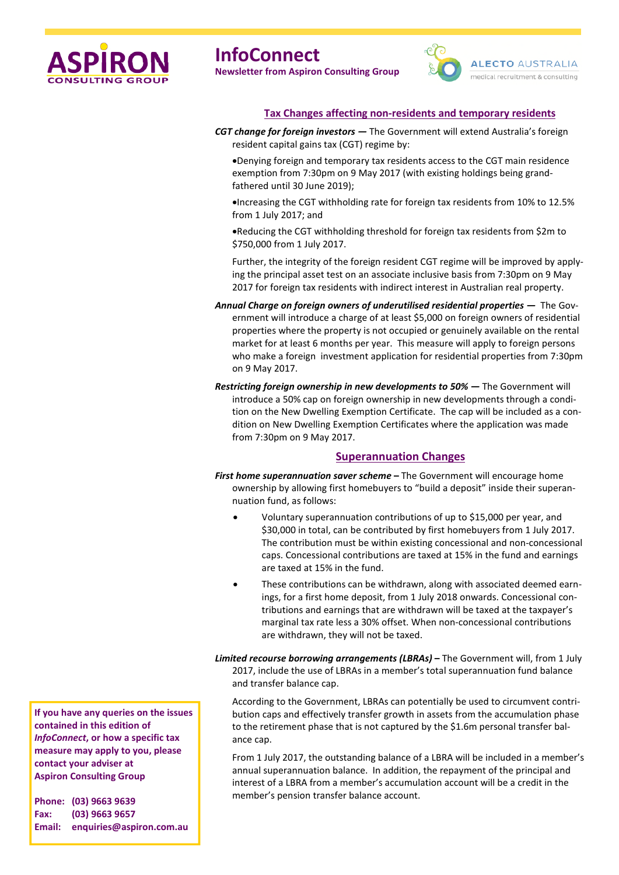



#### **Tax Changes affecting non-residents and temporary residents**

*CGT change for foreign investors —* The Government will extend Australia's foreign resident capital gains tax (CGT) regime by:

•Denying foreign and temporary tax residents access to the CGT main residence exemption from 7:30pm on 9 May 2017 (with existing holdings being grandfathered until 30 June 2019);

•Increasing the CGT withholding rate for foreign tax residents from 10% to 12.5% from 1 July 2017; and

•Reducing the CGT withholding threshold for foreign tax residents from \$2m to \$750,000 from 1 July 2017.

Further, the integrity of the foreign resident CGT regime will be improved by applying the principal asset test on an associate inclusive basis from 7:30pm on 9 May 2017 for foreign tax residents with indirect interest in Australian real property.

- *Annual Charge on foreign owners of underutilised residential properties —* The Government will introduce a charge of at least \$5,000 on foreign owners of residential properties where the property is not occupied or genuinely available on the rental market for at least 6 months per year. This measure will apply to foreign persons who make a foreign investment application for residential properties from 7:30pm on 9 May 2017.
- *Restricting foreign ownership in new developments to 50% —* The Government will introduce a 50% cap on foreign ownership in new developments through a condition on the New Dwelling Exemption Certificate. The cap will be included as a condition on New Dwelling Exemption Certificates where the application was made from 7:30pm on 9 May 2017.

#### **Superannuation Changes**

- *First home superannuation saver scheme* **–** The Government will encourage home ownership by allowing first homebuyers to "build a deposit" inside their superannuation fund, as follows:
	- Voluntary superannuation contributions of up to \$15,000 per year, and \$30,000 in total, can be contributed by first homebuyers from 1 July 2017. The contribution must be within existing concessional and non-concessional caps. Concessional contributions are taxed at 15% in the fund and earnings are taxed at 15% in the fund.
	- These contributions can be withdrawn, along with associated deemed earnings, for a first home deposit, from 1 July 2018 onwards. Concessional contributions and earnings that are withdrawn will be taxed at the taxpayer's marginal tax rate less a 30% offset. When non-concessional contributions are withdrawn, they will not be taxed.

*Limited recourse borrowing arrangements (LBRAs)* **–** The Government will, from 1 July 2017, include the use of LBRAs in a member's total superannuation fund balance and transfer balance cap.

According to the Government, LBRAs can potentially be used to circumvent contribution caps and effectively transfer growth in assets from the accumulation phase to the retirement phase that is not captured by the \$1.6m personal transfer balance cap.

From 1 July 2017, the outstanding balance of a LBRA will be included in a member's annual superannuation balance. In addition, the repayment of the principal and interest of a LBRA from a member's accumulation account will be a credit in the member's pension transfer balance account.

**If you have any queries on the issues contained in this edition of** *InfoConnect***, or how a specific tax measure may apply to you, please contact your adviser at Aspiron Consulting Group**

**Phone: (03) 9663 9639 Fax: (03) 9663 9657 Email: enquiries@aspiron.com.au**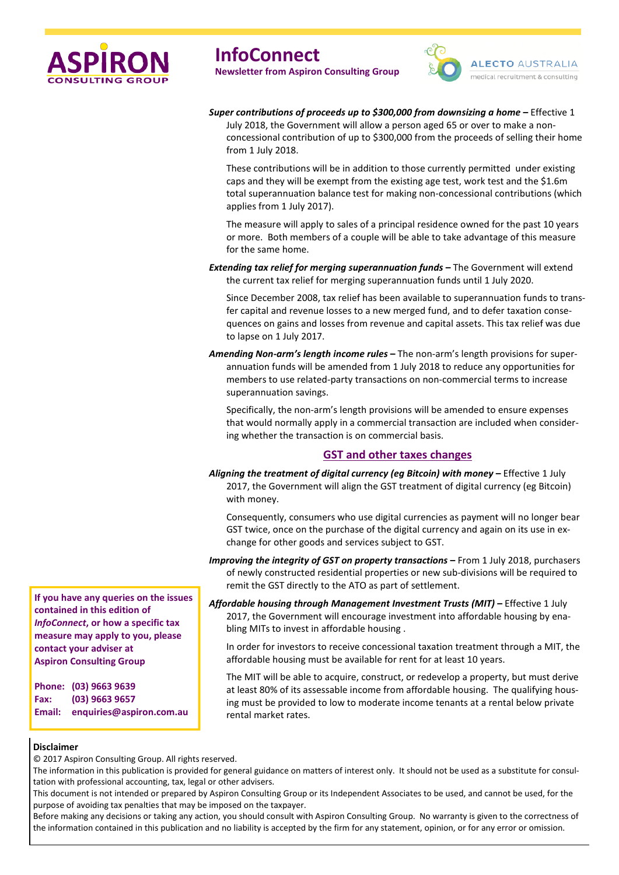



#### *Super contributions of proceeds up to \$300,000 from downsizing a home* **–** Effective 1

July 2018, the Government will allow a person aged 65 or over to make a nonconcessional contribution of up to \$300,000 from the proceeds of selling their home from 1 July 2018.

These contributions will be in addition to those currently permitted under existing caps and they will be exempt from the existing age test, work test and the \$1.6m total superannuation balance test for making non-concessional contributions (which applies from 1 July 2017).

The measure will apply to sales of a principal residence owned for the past 10 years or more. Both members of a couple will be able to take advantage of this measure for the same home.

*Extending tax relief for merging superannuation funds* **–** The Government will extend the current tax relief for merging superannuation funds until 1 July 2020.

Since December 2008, tax relief has been available to superannuation funds to transfer capital and revenue losses to a new merged fund, and to defer taxation consequences on gains and losses from revenue and capital assets. This tax relief was due to lapse on 1 July 2017.

*Amending Non-arm's length income rules* **–** The non-arm's length provisions for superannuation funds will be amended from 1 July 2018 to reduce any opportunities for members to use related-party transactions on non-commercial terms to increase superannuation savings.

Specifically, the non-arm's length provisions will be amended to ensure expenses that would normally apply in a commercial transaction are included when considering whether the transaction is on commercial basis.

#### **GST and other taxes changes**

*Aligning the treatment of digital currency (eg Bitcoin) with money* **–** Effective 1 July 2017, the Government will align the GST treatment of digital currency (eg Bitcoin) with money.

Consequently, consumers who use digital currencies as payment will no longer bear GST twice, once on the purchase of the digital currency and again on its use in exchange for other goods and services subject to GST.

*Improving the integrity of GST on property transactions* **–** From 1 July 2018, purchasers of newly constructed residential properties or new sub-divisions will be required to remit the GST directly to the ATO as part of settlement.

*Affordable housing through Management Investment Trusts (MIT)* **–** Effective 1 July 2017, the Government will encourage investment into affordable housing by enabling MITs to invest in affordable housing .

In order for investors to receive concessional taxation treatment through a MIT, the affordable housing must be available for rent for at least 10 years.

The MIT will be able to acquire, construct, or redevelop a property, but must derive at least 80% of its assessable income from affordable housing. The qualifying housing must be provided to low to moderate income tenants at a rental below private rental market rates.

#### **Disclaimer**

© 2017 Aspiron Consulting Group. All rights reserved.

The information in this publication is provided for general guidance on matters of interest only. It should not be used as a substitute for consultation with professional accounting, tax, legal or other advisers.

This document is not intended or prepared by Aspiron Consulting Group or its Independent Associates to be used, and cannot be used, for the purpose of avoiding tax penalties that may be imposed on the taxpayer.

Before making any decisions or taking any action, you should consult with Aspiron Consulting Group. No warranty is given to the correctness of the information contained in this publication and no liability is accepted by the firm for any statement, opinion, or for any error or omission.

**If you have any queries on the issues contained in this edition of** *InfoConnect***, or how a specific tax measure may apply to you, please contact your adviser at Aspiron Consulting Group**

**Phone: (03) 9663 9639 Fax: (03) 9663 9657 Email: enquiries@aspiron.com.au**